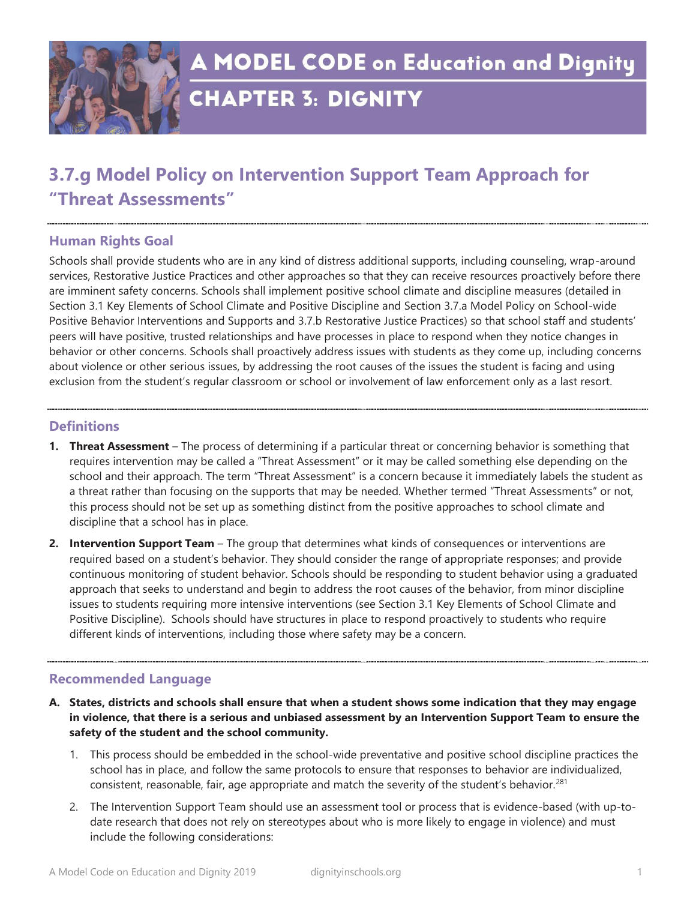

**A MODEL CODE on Education and Dignity** 

# **CHAPTER 3: DIGNITY**

## **3.7.g Model Policy on Intervention Support Team Approach for "Threat Assessments"**

### **Human Rights Goal**

Schools shall provide students who are in any kind of distress additional supports, including counseling, wrap-around services, Restorative Justice Practices and other approaches so that they can receive resources proactively before there are imminent safety concerns. Schools shall implement positive school climate and discipline measures (detailed in Section 3.1 Key Elements of School Climate and Positive Discipline and Section 3.7.a Model Policy on School-wide Positive Behavior Interventions and Supports and 3.7.b Restorative Justice Practices) so that school staff and students' peers will have positive, trusted relationships and have processes in place to respond when they notice changes in behavior or other concerns. Schools shall proactively address issues with students as they come up, including concerns about violence or other serious issues, by addressing the root causes of the issues the student is facing and using exclusion from the student's regular classroom or school or involvement of law enforcement only as a last resort.

### **Definitions**

- **1. Threat Assessment** The process of determining if a particular threat or concerning behavior is something that requires intervention may be called a "Threat Assessment" or it may be called something else depending on the school and their approach. The term "Threat Assessment" is a concern because it immediately labels the student as a threat rather than focusing on the supports that may be needed. Whether termed "Threat Assessments" or not, this process should not be set up as something distinct from the positive approaches to school climate and discipline that a school has in place.
- **2. Intervention Support Team** The group that determines what kinds of consequences or interventions are required based on a student's behavior. They should consider the range of appropriate responses; and provide continuous monitoring of student behavior. Schools should be responding to student behavior using a graduated approach that seeks to understand and begin to address the root causes of the behavior, from minor discipline issues to students requiring more intensive interventions (see Section 3.1 Key Elements of School Climate and Positive Discipline). Schools should have structures in place to respond proactively to students who require different kinds of interventions, including those where safety may be a concern.

### **Recommended Language**

- **A. States, districts and schools shall ensure that when a student shows some indication that they may engage in violence, that there is a serious and unbiased assessment by an Intervention Support Team to ensure the safety of the student and the school community.** 
	- 1. This process should be embedded in the school-wide preventative and positive school discipline practices the school has in place, and follow the same protocols to ensure that responses to behavior are individualized, consistent, reasonable, fair, age appropriate and match the severity of the student's behavior.<sup>281</sup>
	- 2. The Intervention Support Team should use an assessment tool or process that is evidence-based (with up-todate research that does not rely on stereotypes about who is more likely to engage in violence) and must include the following considerations: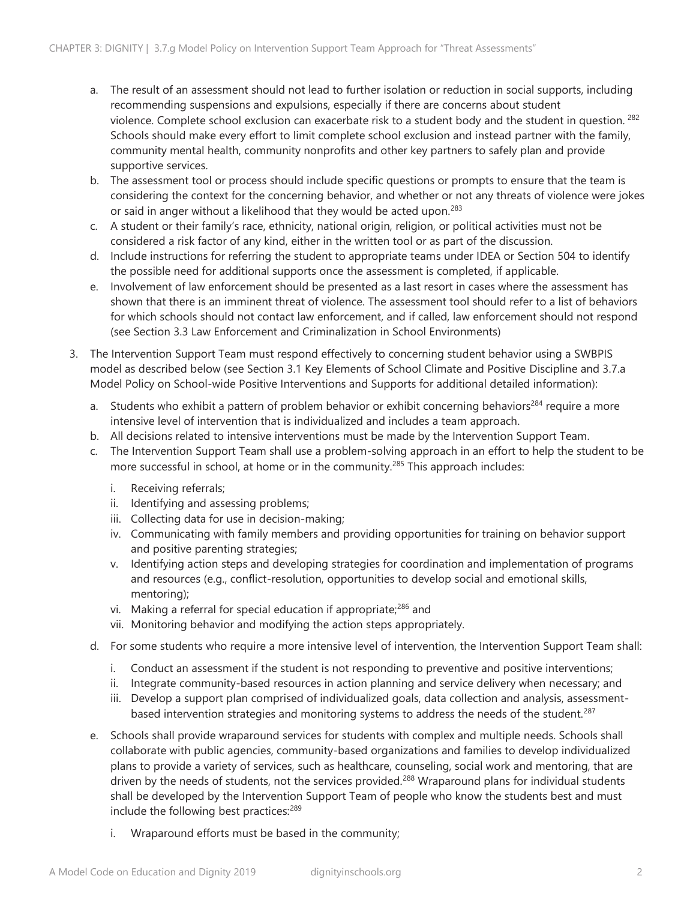- a. The result of an assessment should not lead to further isolation or reduction in social supports, including recommending suspensions and expulsions, especially if there are concerns about student violence. Complete school exclusion can exacerbate risk to a student body and the student in question. <sup>282</sup> Schools should make every effort to limit complete school exclusion and instead partner with the family, community mental health, community nonprofits and other key partners to safely plan and provide supportive services.
- b. The assessment tool or process should include specific questions or prompts to ensure that the team is considering the context for the concerning behavior, and whether or not any threats of violence were jokes or said in anger without a likelihood that they would be acted upon.<sup>283</sup>
- c. A student or their family's race, ethnicity, national origin, religion, or political activities must not be considered a risk factor of any kind, either in the written tool or as part of the discussion.
- d. Include instructions for referring the student to appropriate teams under IDEA or Section 504 to identify the possible need for additional supports once the assessment is completed, if applicable.
- e. Involvement of law enforcement should be presented as a last resort in cases where the assessment has shown that there is an imminent threat of violence. The assessment tool should refer to a list of behaviors for which schools should not contact law enforcement, and if called, law enforcement should not respond (see Section 3.3 Law Enforcement and Criminalization in School Environments)
- 3. The Intervention Support Team must respond effectively to concerning student behavior using a SWBPIS model as described below (see Section 3.1 Key Elements of School Climate and Positive Discipline and 3.7.a Model Policy on School-wide Positive Interventions and Supports for additional detailed information):
	- a. Students who exhibit a pattern of problem behavior or exhibit concerning behaviors<sup>284</sup> require a more intensive level of intervention that is individualized and includes a team approach.
	- b. All decisions related to intensive interventions must be made by the Intervention Support Team.
	- c. The Intervention Support Team shall use a problem-solving approach in an effort to help the student to be more successful in school, at home or in the community.<sup>285</sup> This approach includes:
		- i. Receiving referrals;
		- ii. Identifying and assessing problems;
		- iii. Collecting data for use in decision-making;
		- iv. Communicating with family members and providing opportunities for training on behavior support and positive parenting strategies;
		- v. Identifying action steps and developing strategies for coordination and implementation of programs and resources (e.g., conflict-resolution, opportunities to develop social and emotional skills, mentoring);
		- vi. Making a referral for special education if appropriate;<sup>286</sup> and
		- vii. Monitoring behavior and modifying the action steps appropriately.
	- d. For some students who require a more intensive level of intervention, the Intervention Support Team shall:
		- i. Conduct an assessment if the student is not responding to preventive and positive interventions;
		- ii. Integrate community-based resources in action planning and service delivery when necessary; and
		- iii. Develop a support plan comprised of individualized goals, data collection and analysis, assessmentbased intervention strategies and monitoring systems to address the needs of the student.<sup>287</sup>
	- e. Schools shall provide wraparound services for students with complex and multiple needs. Schools shall collaborate with public agencies, community-based organizations and families to develop individualized plans to provide a variety of services, such as healthcare, counseling, social work and mentoring, that are driven by the needs of students, not the services provided.<sup>288</sup> Wraparound plans for individual students shall be developed by the Intervention Support Team of people who know the students best and must include the following best practices:<sup>289</sup>
		- i. Wraparound efforts must be based in the community;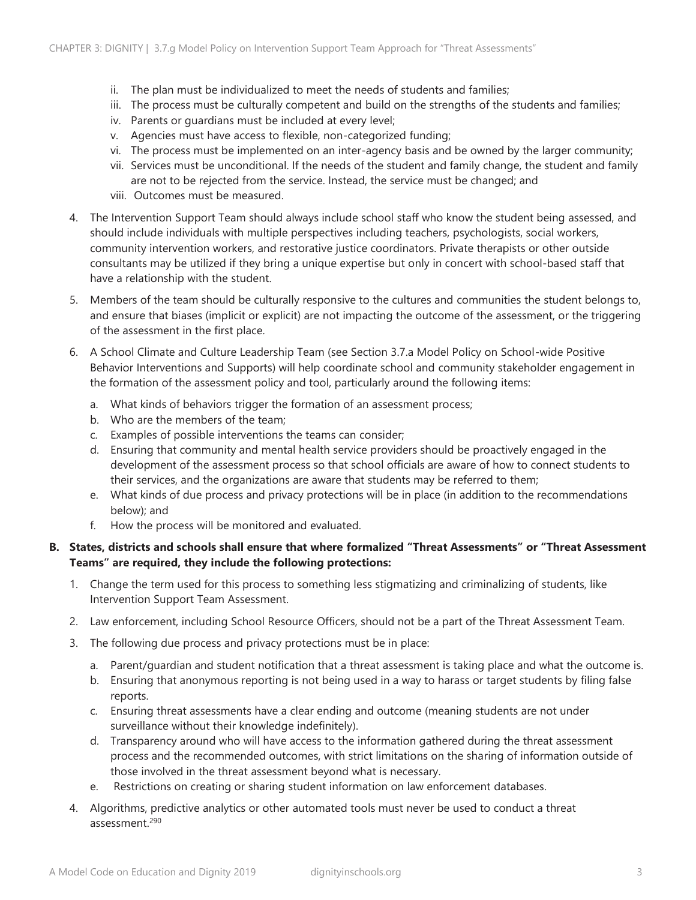- ii. The plan must be individualized to meet the needs of students and families;
- iii. The process must be culturally competent and build on the strengths of the students and families;
- iv. Parents or guardians must be included at every level;
- v. Agencies must have access to flexible, non-categorized funding;
- vi. The process must be implemented on an inter-agency basis and be owned by the larger community;
- vii. Services must be unconditional. If the needs of the student and family change, the student and family are not to be rejected from the service. Instead, the service must be changed; and
- viii. Outcomes must be measured.
- 4. The Intervention Support Team should always include school staff who know the student being assessed, and should include individuals with multiple perspectives including teachers, psychologists, social workers, community intervention workers, and restorative justice coordinators. Private therapists or other outside consultants may be utilized if they bring a unique expertise but only in concert with school-based staff that have a relationship with the student.
- 5. Members of the team should be culturally responsive to the cultures and communities the student belongs to, and ensure that biases (implicit or explicit) are not impacting the outcome of the assessment, or the triggering of the assessment in the first place.
- 6. A School Climate and Culture Leadership Team (see Section 3.7.a Model Policy on School-wide Positive Behavior Interventions and Supports) will help coordinate school and community stakeholder engagement in the formation of the assessment policy and tool, particularly around the following items:
	- a. What kinds of behaviors trigger the formation of an assessment process;
	- b. Who are the members of the team;
	- c. Examples of possible interventions the teams can consider;
	- d. Ensuring that community and mental health service providers should be proactively engaged in the development of the assessment process so that school officials are aware of how to connect students to their services, and the organizations are aware that students may be referred to them;
	- e. What kinds of due process and privacy protections will be in place (in addition to the recommendations below); and
	- f. How the process will be monitored and evaluated.

#### **B. States, districts and schools shall ensure that where formalized "Threat Assessments" or "Threat Assessment Teams" are required, they include the following protections:**

- 1. Change the term used for this process to something less stigmatizing and criminalizing of students, like Intervention Support Team Assessment.
- 2. Law enforcement, including School Resource Officers, should not be a part of the Threat Assessment Team.
- 3. The following due process and privacy protections must be in place:
	- a. Parent/guardian and student notification that a threat assessment is taking place and what the outcome is.
	- b. Ensuring that anonymous reporting is not being used in a way to harass or target students by filing false reports.
	- c. Ensuring threat assessments have a clear ending and outcome (meaning students are not under surveillance without their knowledge indefinitely).
	- d. Transparency around who will have access to the information gathered during the threat assessment process and the recommended outcomes, with strict limitations on the sharing of information outside of those involved in the threat assessment beyond what is necessary.
	- e. Restrictions on creating or sharing student information on law enforcement databases.
- 4. Algorithms, predictive analytics or other automated tools must never be used to conduct a threat assessment.<sup>290</sup>